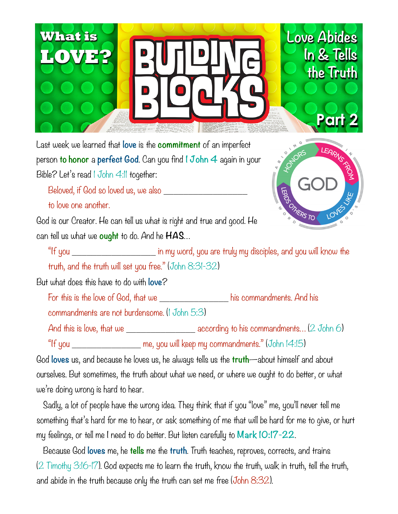

Last week we learned that **love** is the **commitment** of an imperfect person **to honor** a **perfect God**. Can you find **1 John 4** again in your Bible? Let's read 1 John 4:11 together:

Beloved, if God so loved us, we also \_\_\_\_\_\_\_\_\_\_\_\_\_\_\_\_\_

to love one another.

God is our Creator. He can tell us what is right and true and good. He can tell us what we **ought** to do. And he **HAS**…



"If you \_\_\_\_\_\_\_\_\_\_\_\_\_\_\_\_\_ in my word, you are truly my disciples, and you will know the truth, and the truth will set you free." (John 8:31-32)

But what does this have to do with **love**?

For this is the love of God, that we his commandments. And his

commandments are not burdensome. (1 John 5:3)

And this is love, that we \_\_\_\_\_\_\_\_\_\_\_\_\_\_\_\_\_\_\_\_\_\_ according to his commandments... (2 John 6)

"If you \_\_\_\_\_\_\_\_\_\_\_\_\_\_ me, you will keep my commandments." (John 14:15)

God **loves** us, and because he loves us, he always tells us the **truth**—about himself and about ourselves. But sometimes, the truth about what we need, or where we ought to do better, or what we're doing wrong is hard to hear.

 Sadly, a lot of people have the wrong idea. They think that if you "love" me, you'll never tell me something that's hard for me to hear, or ask something of me that will be hard for me to give, or hurt my feelings, or tell me I need to do better. But listen carefully to **Mark 10:17-22**.

 Because God **loves** me, he **tells** me the **truth**. Truth teaches, reproves, corrects, and trains (2 Timothy 3:16-17). God expects me to learn the truth, know the truth, walk in truth, tell the truth, and abide in the truth because only the truth can set me free (John 8:32).